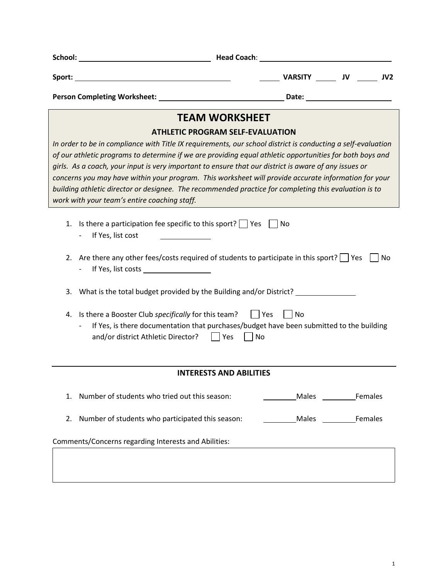| Sport:<br><u> 1980 - Johann Barn, mars eta bainar eta bainar eta baina eta baina eta baina eta baina eta baina eta baina e</u>                                                                                                                                                                                                                                                                                                                                                                                                                                                                                                                | VARSITY ________ JV _______ JV2 |  |  |  |
|-----------------------------------------------------------------------------------------------------------------------------------------------------------------------------------------------------------------------------------------------------------------------------------------------------------------------------------------------------------------------------------------------------------------------------------------------------------------------------------------------------------------------------------------------------------------------------------------------------------------------------------------------|---------------------------------|--|--|--|
|                                                                                                                                                                                                                                                                                                                                                                                                                                                                                                                                                                                                                                               |                                 |  |  |  |
| <b>TEAM WORKSHEET</b>                                                                                                                                                                                                                                                                                                                                                                                                                                                                                                                                                                                                                         |                                 |  |  |  |
| <b>ATHLETIC PROGRAM SELF-EVALUATION</b><br>In order to be in compliance with Title IX requirements, our school district is conducting a self-evaluation<br>of our athletic programs to determine if we are providing equal athletic opportunities for both boys and<br>girls. As a coach, your input is very important to ensure that our district is aware of any issues or<br>concerns you may have within your program. This worksheet will provide accurate information for your<br>building athletic director or designee. The recommended practice for completing this evaluation is to<br>work with your team's entire coaching staff. |                                 |  |  |  |
| Is there a participation fee specific to this sport? $\Box$ Yes $\Box$ No<br>1.<br>If Yes, list cost                                                                                                                                                                                                                                                                                                                                                                                                                                                                                                                                          |                                 |  |  |  |
| Are there any other fees/costs required of students to participate in this sport?   Yes<br>2.                                                                                                                                                                                                                                                                                                                                                                                                                                                                                                                                                 | No                              |  |  |  |
| What is the total budget provided by the Building and/or District? _____________<br>3.                                                                                                                                                                                                                                                                                                                                                                                                                                                                                                                                                        |                                 |  |  |  |
| Is there a Booster Club specifically for this team?     Yes<br>4.<br>If Yes, is there documentation that purchases/budget have been submitted to the building<br>and/or district Athletic Director?<br>Yes<br>No                                                                                                                                                                                                                                                                                                                                                                                                                              | No                              |  |  |  |
| <b>INTERESTS AND ABILITIES</b>                                                                                                                                                                                                                                                                                                                                                                                                                                                                                                                                                                                                                |                                 |  |  |  |
| Number of students who tried out this season:<br>1.                                                                                                                                                                                                                                                                                                                                                                                                                                                                                                                                                                                           | Males<br><b>Example Females</b> |  |  |  |
| Number of students who participated this season:<br>2.                                                                                                                                                                                                                                                                                                                                                                                                                                                                                                                                                                                        | Males Females                   |  |  |  |
| Comments/Concerns regarding Interests and Abilities:                                                                                                                                                                                                                                                                                                                                                                                                                                                                                                                                                                                          |                                 |  |  |  |
|                                                                                                                                                                                                                                                                                                                                                                                                                                                                                                                                                                                                                                               |                                 |  |  |  |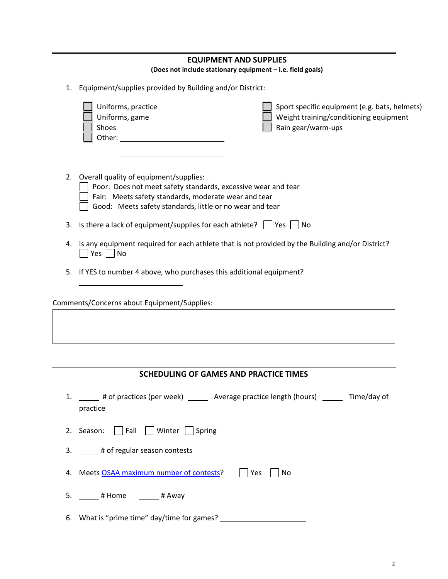|    |                                                                                                                                                                                                                                                                                 | <b>EQUIPMENT AND SUPPLIES</b><br>(Does not include stationary equipment - i.e. field goals)                   |
|----|---------------------------------------------------------------------------------------------------------------------------------------------------------------------------------------------------------------------------------------------------------------------------------|---------------------------------------------------------------------------------------------------------------|
| 1. | Equipment/supplies provided by Building and/or District:                                                                                                                                                                                                                        |                                                                                                               |
|    | Uniforms, practice<br>Uniforms, game<br>Shoes<br>Other: when the contract of the contract of the contract of the contract of the contract of the contract of the contract of the contract of the contract of the contract of the contract of the contract of the contract of th | Sport specific equipment (e.g. bats, helmets)<br>Weight training/conditioning equipment<br>Rain gear/warm-ups |
|    | 2. Overall quality of equipment/supplies:<br>Poor: Does not meet safety standards, excessive wear and tear<br>Fair: Meets safety standards, moderate wear and tear<br>Good: Meets safety standards, little or no wear and tear                                                  |                                                                                                               |
| 3. | Is there a lack of equipment/supplies for each athlete? $\Box$ Yes $\Box$ No                                                                                                                                                                                                    |                                                                                                               |
|    | $Yes \mid No$                                                                                                                                                                                                                                                                   | 4. Is any equipment required for each athlete that is not provided by the Building and/or District?           |
| 5. | If YES to number 4 above, who purchases this additional equipment?                                                                                                                                                                                                              |                                                                                                               |
|    | Comments/Concerns about Equipment/Supplies:                                                                                                                                                                                                                                     |                                                                                                               |
|    |                                                                                                                                                                                                                                                                                 |                                                                                                               |
|    |                                                                                                                                                                                                                                                                                 |                                                                                                               |
|    | <b>SCHEDULING OF GAMES AND PRACTICE TIMES</b>                                                                                                                                                                                                                                   |                                                                                                               |

| # of practices (per week) | Average practice length (hours) | Time/day of |
|---------------------------|---------------------------------|-------------|
| practice                  |                                 |             |

|  |  |  | 2. Season: $\Box$ Fall $\Box$ Winter $\Box$ Spring |  |
|--|--|--|----------------------------------------------------|--|
|--|--|--|----------------------------------------------------|--|

3. \_\_\_\_\_# of regular season contests

4. Meets OSAA [maximum number of contests?](http://www.osaa.org/governance/handbooks/osaa#_Toc456100497) Thes No

5. \_\_\_\_\_\_ # Home \_\_\_\_\_\_\_ # Away

6. What is "prime time" day/time for games?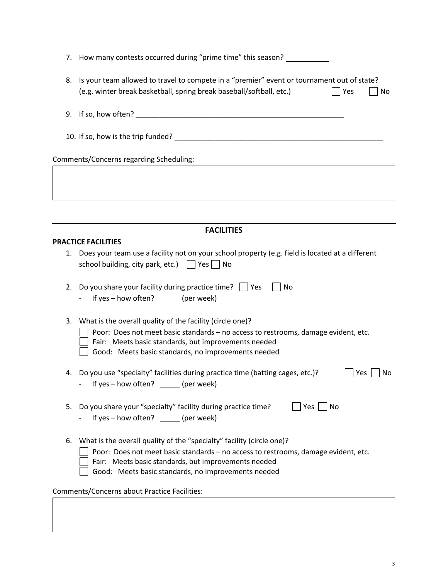|    | 7. How many contests occurred during "prime time" this season?                                                                                                                                                                                                                                                             |
|----|----------------------------------------------------------------------------------------------------------------------------------------------------------------------------------------------------------------------------------------------------------------------------------------------------------------------------|
| 8. | Is your team allowed to travel to compete in a "premier" event or tournament out of state?<br>(e.g. winter break basketball, spring break baseball/softball, etc.)<br>  Yes<br>No                                                                                                                                          |
|    |                                                                                                                                                                                                                                                                                                                            |
|    |                                                                                                                                                                                                                                                                                                                            |
|    | Comments/Concerns regarding Scheduling:                                                                                                                                                                                                                                                                                    |
|    |                                                                                                                                                                                                                                                                                                                            |
|    |                                                                                                                                                                                                                                                                                                                            |
|    | <b>FACILITIES</b>                                                                                                                                                                                                                                                                                                          |
|    | <b>PRACTICE FACILITIES</b>                                                                                                                                                                                                                                                                                                 |
|    | 1. Does your team use a facility not on your school property (e.g. field is located at a different<br>school building, city park, etc.) $\Box$ Yes $\Box$ No                                                                                                                                                               |
| 2. | Do you share your facility during practice time? $\vert \vert$ Yes<br>No<br>If yes $-$ how often? $\qquad \qquad$ (per week)                                                                                                                                                                                               |
| 3. | What is the overall quality of the facility (circle one)?<br>Poor: Does not meet basic standards - no access to restrooms, damage evident, etc.<br>Fair: Meets basic standards, but improvements needed<br>Good: Meets basic standards, no improvements needed                                                             |
|    | 4. Do you use "specialty" facilities during practice time (batting cages, etc.)?<br>No<br>Yes<br>If yes - how often? ______ (per week)                                                                                                                                                                                     |
| 5. | Do you share your "specialty" facility during practice time?<br>Yes     No<br>If yes $-$ how often? $\qquad \qquad$ (per week)                                                                                                                                                                                             |
| 6. | What is the overall quality of the "specialty" facility (circle one)?<br>Poor: Does not meet basic standards - no access to restrooms, damage evident, etc.<br>Fair: Meets basic standards, but improvements needed<br>Good: Meets basic standards, no improvements needed<br>Comments/Concerns about Practice Facilities: |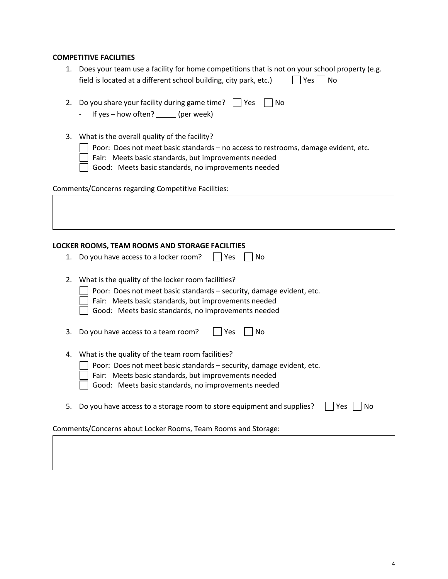## **COMPETITIVE FACILITIES**

| 1. Does your team use a facility for home competitions that is not on your school property (e.g. |                      |
|--------------------------------------------------------------------------------------------------|----------------------|
| field is located at a different school building, city park, etc.)                                | $\Box$ Yes $\Box$ No |

|  | 2. Do you share your facility during game time? $\Box$ Yes $\Box$ No |  |  |
|--|----------------------------------------------------------------------|--|--|
|--|----------------------------------------------------------------------|--|--|

- If yes how often? \_\_\_\_\_\_ (per week)
- 3. What is the overall quality of the facility?
	- **Poor:** Does not meet basic standards no access to restrooms, damage evident, etc.
	- $\Box$  Fair: Meets basic standards, but improvements needed
	- Good: Meets basic standards, no improvements needed

Comments/Concerns regarding Competitive Facilities:

## **LOCKER ROOMS, TEAM ROOMS AND STORAGE FACILITIES**

| 1. Do you have access to a locker room? $\Box$ Yes $\Box$ No |  |  |  |  |
|--------------------------------------------------------------|--|--|--|--|
|--------------------------------------------------------------|--|--|--|--|

2. What is the quality of the locker room facilities?

**Poor:** Does not meet basic standards – security, damage evident, etc.

 Fair: Meets basic standards, but improvements needed Good: Meets basic standards, no improvements needed

|  | $\Box$ Good: Tweets basic standards, no improvements needed |
|--|-------------------------------------------------------------|
|  |                                                             |

| 3. Do you have access to a team room? | $\Box$ Yes $\Box$ No |  |
|---------------------------------------|----------------------|--|
|---------------------------------------|----------------------|--|

- 4. What is the quality of the team room facilities?
	- **Poor:** Does not meet basic standards security, damage evident, etc.
	- Fair: Meets basic standards, but improvements needed

Good: Meets basic standards, no improvements needed

5. Do you have access to a storage room to store equipment and supplies?  $\Box$  Yes  $\Box$  No

Comments/Concerns about Locker Rooms, Team Rooms and Storage: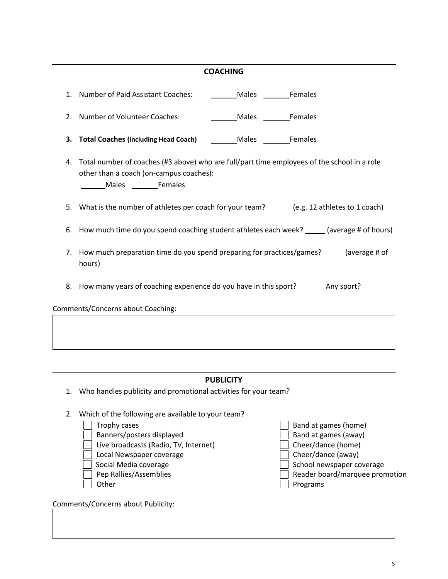## **COACHING**

| <b>Males</b> Females                                                                                                     |                                                                      |                                                                                                                                                                                                                                                                                                                                                                                                                                                                                                                                                                                                                                                                                                                                                                                                                                                                                                                          |
|--------------------------------------------------------------------------------------------------------------------------|----------------------------------------------------------------------|--------------------------------------------------------------------------------------------------------------------------------------------------------------------------------------------------------------------------------------------------------------------------------------------------------------------------------------------------------------------------------------------------------------------------------------------------------------------------------------------------------------------------------------------------------------------------------------------------------------------------------------------------------------------------------------------------------------------------------------------------------------------------------------------------------------------------------------------------------------------------------------------------------------------------|
|                                                                                                                          |                                                                      |                                                                                                                                                                                                                                                                                                                                                                                                                                                                                                                                                                                                                                                                                                                                                                                                                                                                                                                          |
|                                                                                                                          |                                                                      |                                                                                                                                                                                                                                                                                                                                                                                                                                                                                                                                                                                                                                                                                                                                                                                                                                                                                                                          |
| hours)                                                                                                                   |                                                                      |                                                                                                                                                                                                                                                                                                                                                                                                                                                                                                                                                                                                                                                                                                                                                                                                                                                                                                                          |
|                                                                                                                          |                                                                      |                                                                                                                                                                                                                                                                                                                                                                                                                                                                                                                                                                                                                                                                                                                                                                                                                                                                                                                          |
|                                                                                                                          |                                                                      |                                                                                                                                                                                                                                                                                                                                                                                                                                                                                                                                                                                                                                                                                                                                                                                                                                                                                                                          |
|                                                                                                                          |                                                                      |                                                                                                                                                                                                                                                                                                                                                                                                                                                                                                                                                                                                                                                                                                                                                                                                                                                                                                                          |
|                                                                                                                          |                                                                      |                                                                                                                                                                                                                                                                                                                                                                                                                                                                                                                                                                                                                                                                                                                                                                                                                                                                                                                          |
| Trophy cases<br>Banners/posters displayed<br>Local Newspaper coverage<br>Social Media coverage<br>Pep Rallies/Assemblies |                                                                      | Band at games (home)<br>Band at games (away)<br>Cheer/dance (home)<br>Cheer/dance (away)<br>School newspaper coverage<br>Reader board/marquee promotion                                                                                                                                                                                                                                                                                                                                                                                                                                                                                                                                                                                                                                                                                                                                                                  |
|                                                                                                                          | 2. Number of Volunteer Coaches:<br>Comments/Concerns about Coaching: | 1. Number of Paid Assistant Coaches: __________ Males ________ Females<br>Males Females<br>Total Coaches (including Head Coach) _________ Males _________ Females<br>Total number of coaches (#3 above) who are full/part time employees of the school in a role<br>other than a coach (on-campus coaches):<br>What is the number of athletes per coach for your team? _____ (e.g. 12 athletes to 1 coach)<br>How much time do you spend coaching student athletes each week? _____(average # of hours)<br>7. How much preparation time do you spend preparing for practices/games? ______ (average # of<br>8. How many years of coaching experience do you have in this sport? ________ Any sport? ______<br><b>PUBLICITY</b><br>Who handles publicity and promotional activities for your team? _______________________<br>Which of the following are available to your team?<br>Live broadcasts (Radio, TV, Internet) |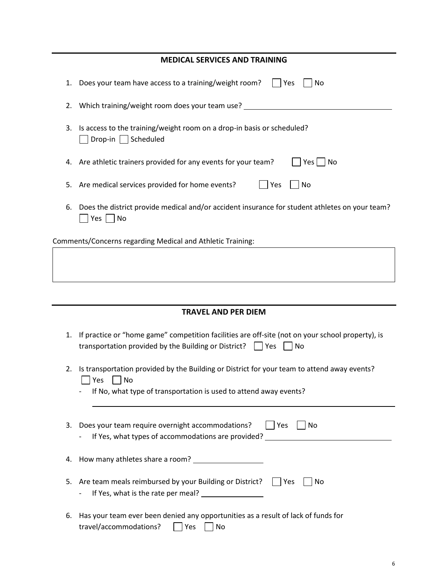|    | <b>MEDICAL SERVICES AND TRAINING</b>                                                                                                                                          |
|----|-------------------------------------------------------------------------------------------------------------------------------------------------------------------------------|
| 1. | Does your team have access to a training/weight room?<br>Yes<br>No                                                                                                            |
| 2. | Which training/weight room does your team use?                                                                                                                                |
| 3. | Is access to the training/weight room on a drop-in basis or scheduled?<br>Drop-in   Scheduled                                                                                 |
| 4. | Are athletic trainers provided for any events for your team?<br>Yes  <br>No                                                                                                   |
| 5. | Are medical services provided for home events?<br>$\Box$ Yes<br>No                                                                                                            |
| 6. | Does the district provide medical and/or accident insurance for student athletes on your team?<br>$ Yes $ No                                                                  |
|    | Comments/Concerns regarding Medical and Athletic Training:                                                                                                                    |
|    |                                                                                                                                                                               |
|    |                                                                                                                                                                               |
|    | <b>TRAVEL AND PER DIEM</b>                                                                                                                                                    |
| 1. | If practice or "home game" competition facilities are off-site (not on your school property), is<br>transportation provided by the Building or District?<br>Yes<br>No         |
| 2. | Is transportation provided by the Building or District for your team to attend away events?<br>Yes<br>No<br>If No, what type of transportation is used to attend away events? |
|    |                                                                                                                                                                               |
| 3. | Does your team require overnight accommodations?<br>  Yes<br>$\vert$ $\vert$ No<br>If Yes, what types of accommodations are provided? __________                              |
| 4. |                                                                                                                                                                               |
| 5. | Are team meals reimbursed by your Building or District?     Yes<br>No                                                                                                         |
| 6. | Has your team ever been denied any opportunities as a result of lack of funds for<br>travel/accommodations?<br>Yes<br>No                                                      |